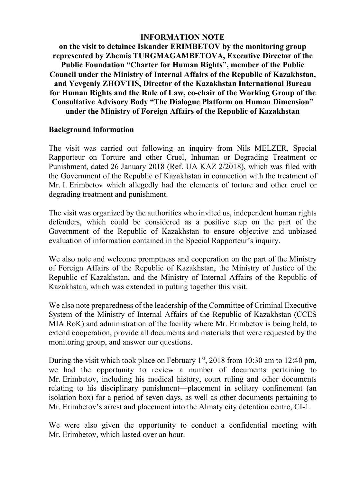## **INFORMATION NOTE**

**on the visit to detainee Iskander ERIMBETOV by the monitoring group represented by Zhemis TURGMAGAMBETOVA, Executive Director of the Public Foundation "Charter for Human Rights", member of the Public Council under the Ministry of Internal Affairs of the Republic of Kazakhstan, and Yevgeniy ZHOVTIS, Director of the Kazakhstan International Bureau for Human Rights and the Rule of Law, co-chair of the Working Group of the Consultative Advisory Body "The Dialogue Platform on Human Dimension" under the Ministry of Foreign Affairs of the Republic of Kazakhstan**

## **Background information**

The visit was carried out following an inquiry from Nils MELZER, Special Rapporteur on Torture and other Cruel, Inhuman or Degrading Treatment or Punishment, dated 26 January 2018 (Ref. UA KAZ 2/2018), which was filed with the Government of the Republic of Kazakhstan in connection with the treatment of Mr. I. Erimbetov which allegedly had the elements of torture and other cruel or degrading treatment and punishment.

The visit was organized by the authorities who invited us, independent human rights defenders, which could be considered as a positive step on the part of the Government of the Republic of Kazakhstan to ensure objective and unbiased evaluation of information contained in the Special Rapporteur's inquiry.

We also note and welcome promptness and cooperation on the part of the Ministry of Foreign Affairs of the Republic of Kazakhstan, the Ministry of Justice of the Republic of Kazakhstan, and the Ministry of Internal Affairs of the Republic of Kazakhstan, which was extended in putting together this visit.

We also note preparedness of the leadership of the Committee of Criminal Executive System of the Ministry of Internal Affairs of the Republic of Kazakhstan (CCES MIA RoK) and administration of the facility where Mr. Erimbetov is being held, to extend cooperation, provide all documents and materials that were requested by the monitoring group, and answer our questions.

During the visit which took place on February  $1<sup>st</sup>$ , 2018 from 10:30 am to 12:40 pm, we had the opportunity to review a number of documents pertaining to Mr. Erimbetov, including his medical history, court ruling and other documents relating to his disciplinary punishment—placement in solitary confinement (an isolation box) for a period of seven days, as well as other documents pertaining to Mr. Erimbetov's arrest and placement into the Almaty city detention centre, CI-1.

We were also given the opportunity to conduct a confidential meeting with Mr. Erimbetov, which lasted over an hour.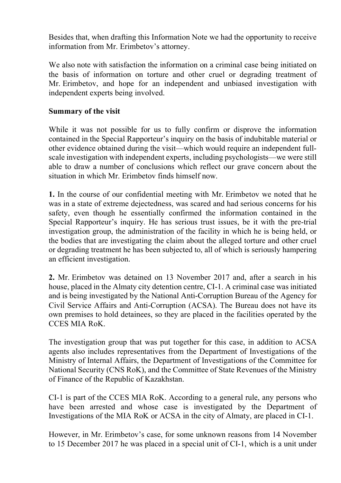Besides that, when drafting this Information Note we had the opportunity to receive information from Mr. Erimbetov's attorney.

We also note with satisfaction the information on a criminal case being initiated on the basis of information on torture and other cruel or degrading treatment of Mr. Erimbetov, and hope for an independent and unbiased investigation with independent experts being involved.

## **Summary of the visit**

While it was not possible for us to fully confirm or disprove the information contained in the Special Rapporteur's inquiry on the basis of indubitable material or other evidence obtained during the visit—which would require an independent fullscale investigation with independent experts, including psychologists—we were still able to draw a number of conclusions which reflect our grave concern about the situation in which Mr. Erimbetov finds himself now.

**1.** In the course of our confidential meeting with Mr. Erimbetov we noted that he was in a state of extreme dejectedness, was scared and had serious concerns for his safety, even though he essentially confirmed the information contained in the Special Rapporteur's inquiry. He has serious trust issues, be it with the pre-trial investigation group, the administration of the facility in which he is being held, or the bodies that are investigating the claim about the alleged torture and other cruel or degrading treatment he has been subjected to, all of which is seriously hampering an efficient investigation.

**2.** Mr. Erimbetov was detained on 13 November 2017 and, after a search in his house, placed in the Almaty city detention centre, CI-1. A criminal case was initiated and is being investigated by the National Anti-Corruption Bureau of the Agency for Civil Service Affairs and Anti-Corruption (ACSA). The Bureau does not have its own premises to hold detainees, so they are placed in the facilities operated by the CCES MIA RoK.

The investigation group that was put together for this case, in addition to ACSA agents also includes representatives from the Department of Investigations of the Ministry of Internal Affairs, the Department of Investigations of the Committee for National Security (CNS RoK), and the Committee of State Revenues of the Ministry of Finance of the Republic of Kazakhstan.

CI-1 is part of the CCES MIA RoK. According to a general rule, any persons who have been arrested and whose case is investigated by the Department of Investigations of the MIA RoK or ACSA in the city of Almaty, are placed in CI-1.

However, in Mr. Erimbetov's case, for some unknown reasons from 14 November to 15 December 2017 he was placed in a special unit of CI-1, which is a unit under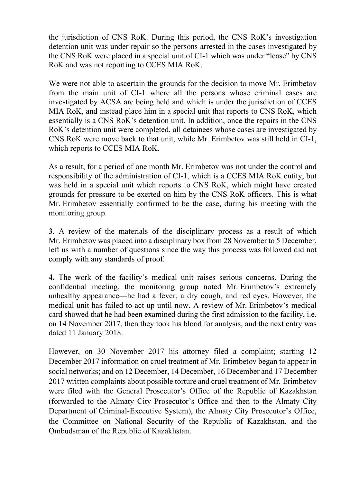the jurisdiction of CNS RoK. During this period, the CNS RoK's investigation detention unit was under repair so the persons arrested in the cases investigated by the CNS RoK were placed in a special unit of CI-1 which was under "lease" by CNS RoK and was not reporting to CCES MIA RoK.

We were not able to ascertain the grounds for the decision to move Mr. Erimbetov from the main unit of CI-1 where all the persons whose criminal cases are investigated by ACSA are being held and which is under the jurisdiction of CCES MIA RoK, and instead place him in a special unit that reports to CNS RoK, which essentially is a CNS RoK's detention unit. In addition, once the repairs in the CNS RoK's detention unit were completed, all detainees whose cases are investigated by CNS RoK were move back to that unit, while Mr. Erimbetov was still held in CI-1, which reports to CCES MIA RoK.

As a result, for a period of one month Mr. Erimbetov was not under the control and responsibility of the administration of CI-1, which is a CCES MIA RoK entity, but was held in a special unit which reports to CNS RoK, which might have created grounds for pressure to be exerted on him by the CNS RoK officers. This is what Mr. Erimbetov essentially confirmed to be the case, during his meeting with the monitoring group.

**3**. A review of the materials of the disciplinary process as a result of which Mr. Erimbetov was placed into a disciplinary box from 28 November to 5 December, left us with a number of questions since the way this process was followed did not comply with any standards of proof.

**4.** The work of the facility's medical unit raises serious concerns. During the confidential meeting, the monitoring group noted Mr. Erimbetov's extremely unhealthy appearance—he had a fever, a dry cough, and red eyes. However, the medical unit has failed to act up until now. A review of Mr. Erimbetov's medical card showed that he had been examined during the first admission to the facility, i.e. on 14 November 2017, then they took his blood for analysis, and the next entry was dated 11 January 2018.

However, on 30 November 2017 his attorney filed a complaint; starting 12 December 2017 information on cruel treatment of Mr. Erimbetov began to appear in social networks; and on 12 December, 14 December, 16 December and 17 December 2017 written complaints about possible torture and cruel treatment of Mr. Erimbetov were filed with the General Prosecutor's Office of the Republic of Kazakhstan (forwarded to the Almaty City Prosecutor's Office and then to the Almaty City Department of Criminal-Executive System), the Almaty City Prosecutor's Office, the Committee on National Security of the Republic of Kazakhstan, and the Ombudsman of the Republic of Kazakhstan.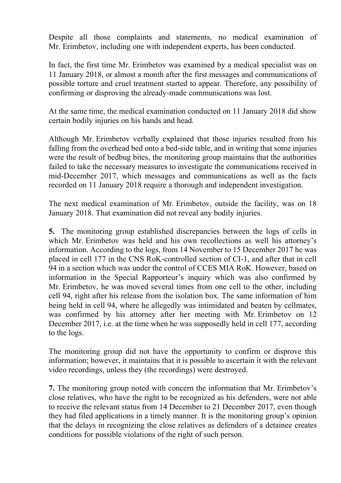Despite all those complaints and statements, no medical examination of Mr. Erimbetov, including one with independent experts, has been conducted.

In fact, the first time Mr. Erimbetov was examined by a medical specialist was on 11 January 2018, or almost a month after the first messages and communications of possible torture and cruel treatment started to appear. Therefore, any possibility of confirming or disproving the already-made communications was lost.

At the same time, the medical examination conducted on 11 January 2018 did show certain bodily injuries on his hands and head.

Although Mr. Erimbetov verbally explained that those injuries resulted from his falling from the overhead bed onto a bed-side table, and in writing that some injuries were the result of bedbug bites, the monitoring group maintains that the authorities failed to take the necessary measures to investigate the communications received in mid-December 2017, which messages and communications as well as the facts recorded on 11 January 2018 require a thorough and independent investigation.

The next medical examination of Mr. Erimbetov, outside the facility, was on 18 January 2018. That examination did not reveal any bodily injuries.

**5.** The monitoring group established discrepancies between the logs of cells in which Mr. Erimbetov was held and his own recollections as well his attorney's information. According to the logs, from 14 November to 15 December 2017 he was placed in cell 177 in the CNS RoK-controlled section of CI-1, and after that in cell 94 in a section which was under the control of CCES MIA RoK. However, based on information in the Special Rapporteur's inquiry which was also confirmed by Mr. Erimbetov, he was moved several times from one cell to the other, including cell 94, right after his release from the isolation box. The same information of him being held in cell 94, where he allegedly was intimidated and beaten by cellmates, was confirmed by his attorney after her meeting with Mr. Erimbetov on 12 December 2017, i.e. at the time when he was supposedly held in cell 177, according to the logs.

The monitoring group did not have the opportunity to confirm or disprove this information; however, it maintains that it is possible to ascertain it with the relevant video recordings, unless they (the recordings) were destroyed.

**7.** The monitoring group noted with concern the information that Mr. Erimbetov's close relatives, who have the right to be recognized as his defenders, were not able to receive the relevant status from 14 December to 21 December 2017, even though they had filed applications in a timely manner. It is the monitoring group's opinion that the delays in recognizing the close relatives as defenders of a detainee creates conditions for possible violations of the right of such person.